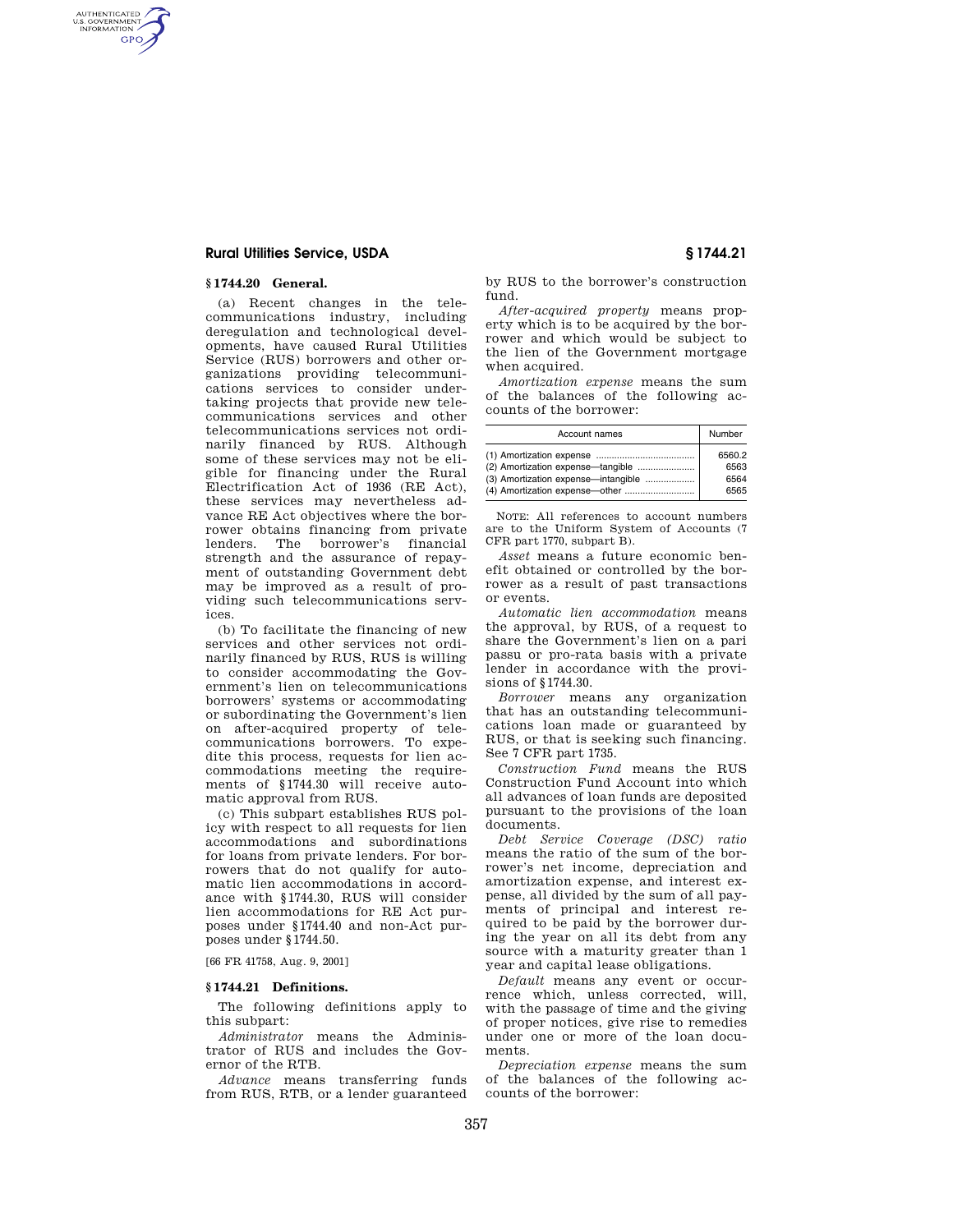# **Rural Utilities Service, USDA § 1744.21**

# **§ 1744.20 General.**

AUTHENTICATED<br>U.S. GOVERNMENT<br>INFORMATION **GPO** 

> (a) Recent changes in the telecommunications industry, including deregulation and technological developments, have caused Rural Utilities Service (RUS) borrowers and other organizations providing telecommunications services to consider undertaking projects that provide new telecommunications services and other telecommunications services not ordinarily financed by RUS. Although some of these services may not be eligible for financing under the Rural Electrification Act of 1936 (RE Act), these services may nevertheless advance RE Act objectives where the borrower obtains financing from private lenders. The borrower's financial strength and the assurance of repayment of outstanding Government debt may be improved as a result of providing such telecommunications services.

> (b) To facilitate the financing of new services and other services not ordinarily financed by RUS, RUS is willing to consider accommodating the Government's lien on telecommunications borrowers' systems or accommodating or subordinating the Government's lien on after-acquired property of telecommunications borrowers. To expedite this process, requests for lien accommodations meeting the requirements of §1744.30 will receive automatic approval from RUS.

> (c) This subpart establishes RUS policy with respect to all requests for lien accommodations and subordinations for loans from private lenders. For borrowers that do not qualify for automatic lien accommodations in accordance with §1744.30, RUS will consider lien accommodations for RE Act purposes under §1744.40 and non-Act purposes under §1744.50.

[66 FR 41758, Aug. 9, 2001]

### **§ 1744.21 Definitions.**

The following definitions apply to this subpart:

*Administrator* means the Administrator of RUS and includes the Governor of the RTB.

*Advance* means transferring funds from RUS, RTB, or a lender guaranteed by RUS to the borrower's construction fund.

*After-acquired property* means property which is to be acquired by the borrower and which would be subject to the lien of the Government mortgage when acquired.

*Amortization expense* means the sum of the balances of the following accounts of the borrower:

| Account names                       | Number |
|-------------------------------------|--------|
|                                     | 6560.2 |
| (2) Amortization expense-tangible   | 6563   |
| (3) Amortization expense—intangible | 6564   |
|                                     | 6565   |

NOTE: All references to account numbers are to the Uniform System of Accounts (7 CFR part 1770, subpart B).

*Asset* means a future economic benefit obtained or controlled by the borrower as a result of past transactions or events.

*Automatic lien accommodation* means the approval, by RUS, of a request to share the Government's lien on a pari passu or pro-rata basis with a private lender in accordance with the provisions of §1744.30.

*Borrower* means any organization that has an outstanding telecommunications loan made or guaranteed by RUS, or that is seeking such financing. See 7 CFR part 1735.

*Construction Fund* means the RUS Construction Fund Account into which all advances of loan funds are deposited pursuant to the provisions of the loan documents.

*Debt Service Coverage (DSC) ratio*  means the ratio of the sum of the borrower's net income, depreciation and amortization expense, and interest expense, all divided by the sum of all payments of principal and interest required to be paid by the borrower during the year on all its debt from any source with a maturity greater than 1 year and capital lease obligations.

*Default* means any event or occurrence which, unless corrected, will, with the passage of time and the giving of proper notices, give rise to remedies under one or more of the loan documents.

*Depreciation expense* means the sum of the balances of the following accounts of the borrower: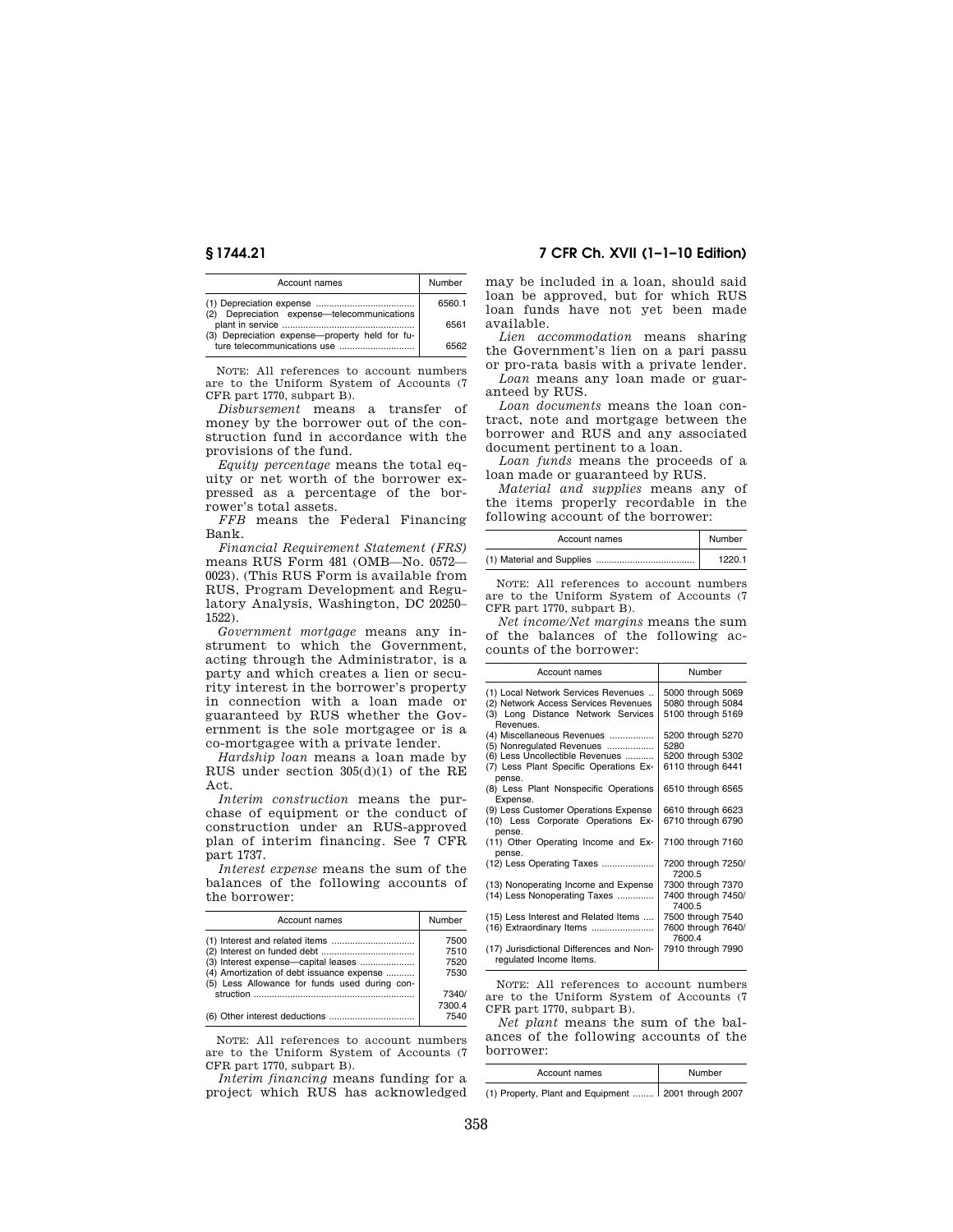| Account names                                  | Number |
|------------------------------------------------|--------|
| (2) Depreciation expense-telecommunications    | 6560.1 |
| (3) Depreciation expense-property held for fu- | 6561   |
| ture telecommunications use                    | 6562   |

NOTE: All references to account numbers are to the Uniform System of Accounts (7 CFR part 1770, subpart B).

*Disbursement* means a transfer of money by the borrower out of the construction fund in accordance with the provisions of the fund.

*Equity percentage* means the total equity or net worth of the borrower expressed as a percentage of the borrower's total assets.

*FFB* means the Federal Financing Bank.

*Financial Requirement Statement (FRS)*  means RUS Form 481 (OMB—No. 0572— 0023). (This RUS Form is available from RUS, Program Development and Regulatory Analysis, Washington, DC 20250– 1522).

*Government mortgage* means any instrument to which the Government, acting through the Administrator, is a party and which creates a lien or security interest in the borrower's property in connection with a loan made or guaranteed by RUS whether the Government is the sole mortgagee or is a co-mortgagee with a private lender.

*Hardship loan* means a loan made by RUS under section 305(d)(1) of the RE Act.

*Interim construction* means the purchase of equipment or the conduct of construction under an RUS-approved plan of interim financing. See 7 CFR part 1737.

*Interest expense* means the sum of the balances of the following accounts of the borrower:

| Account names                                 | Number |
|-----------------------------------------------|--------|
|                                               | 7500   |
|                                               | 7510   |
| (3) Interest expense—capital leases           | 7520   |
| (4) Amortization of debt issuance expense     | 7530   |
| (5) Less Allowance for funds used during con- |        |
|                                               | 7340/  |
|                                               | 7300.4 |
|                                               | 7540   |

NOTE: All references to account numbers are to the Uniform System of Accounts (7 CFR part 1770, subpart B).

*Interim financing* means funding for a project which RUS has acknowledged

# **§ 1744.21 7 CFR Ch. XVII (1–1–10 Edition)**

may be included in a loan, should said loan be approved, but for which RUS loan funds have not yet been made available.

*Lien accommodation* means sharing the Government's lien on a pari passu or pro-rata basis with a private lender.

*Loan* means any loan made or guaranteed by RUS.

*Loan documents* means the loan contract, note and mortgage between the borrower and RUS and any associated document pertinent to a loan.

*Loan funds* means the proceeds of a loan made or guaranteed by RUS.

*Material and supplies* means any of the items properly recordable in the following account of the borrower:

| Account names | Number |
|---------------|--------|
|               | 1220.1 |

NOTE: All references to account numbers are to the Uniform System of Accounts (7 CFR part 1770, subpart B).

*Net income/Net margins* means the sum of the balances of the following accounts of the borrower:

| Account names                                                                                                                  | Number                                                      |
|--------------------------------------------------------------------------------------------------------------------------------|-------------------------------------------------------------|
| (1) Local Network Services Revenues<br>(2) Network Access Services Revenues<br>(3) Long Distance Network Services<br>Revenues. | 5000 through 5069<br>5080 through 5084<br>5100 through 5169 |
| (4) Miscellaneous Revenues<br>(5) Nonregulated Revenues                                                                        | 5200 through 5270<br>5280                                   |
| (6) Less Uncollectible Revenues<br>(7) Less Plant Specific Operations Ex-<br>pense.                                            | 5200 through 5302<br>6110 through 6441                      |
| (8) Less Plant Nonspecific Operations<br>Expense.                                                                              | 6510 through 6565                                           |
| (9) Less Customer Operations Expense<br>(10) Less Corporate Operations Ex-<br>pense.                                           | 6610 through 6623<br>6710 through 6790                      |
| (11) Other Operating Income and Ex-<br>pense.                                                                                  | 7100 through 7160                                           |
| (12) Less Operating Taxes                                                                                                      | 7200 through 7250/<br>7200.5                                |
| (13) Nonoperating Income and Expense<br>(14) Less Nonoperating Taxes                                                           | 7300 through 7370<br>7400 through 7450/<br>7400.5           |
| (15) Less Interest and Related Items<br>(16) Extraordinary Items                                                               | 7500 through 7540<br>7600 through 7640/<br>7600.4           |
| (17) Jurisdictional Differences and Non-<br>regulated Income Items.                                                            | 7910 through 7990                                           |

NOTE: All references to account numbers are to the Uniform System of Accounts (7 CFR part 1770, subpart B).

*Net plant* means the sum of the balances of the following accounts of the borrower:

| Account names                                        | Number |
|------------------------------------------------------|--------|
| (1) Property, Plant and Equipment  2001 through 2007 |        |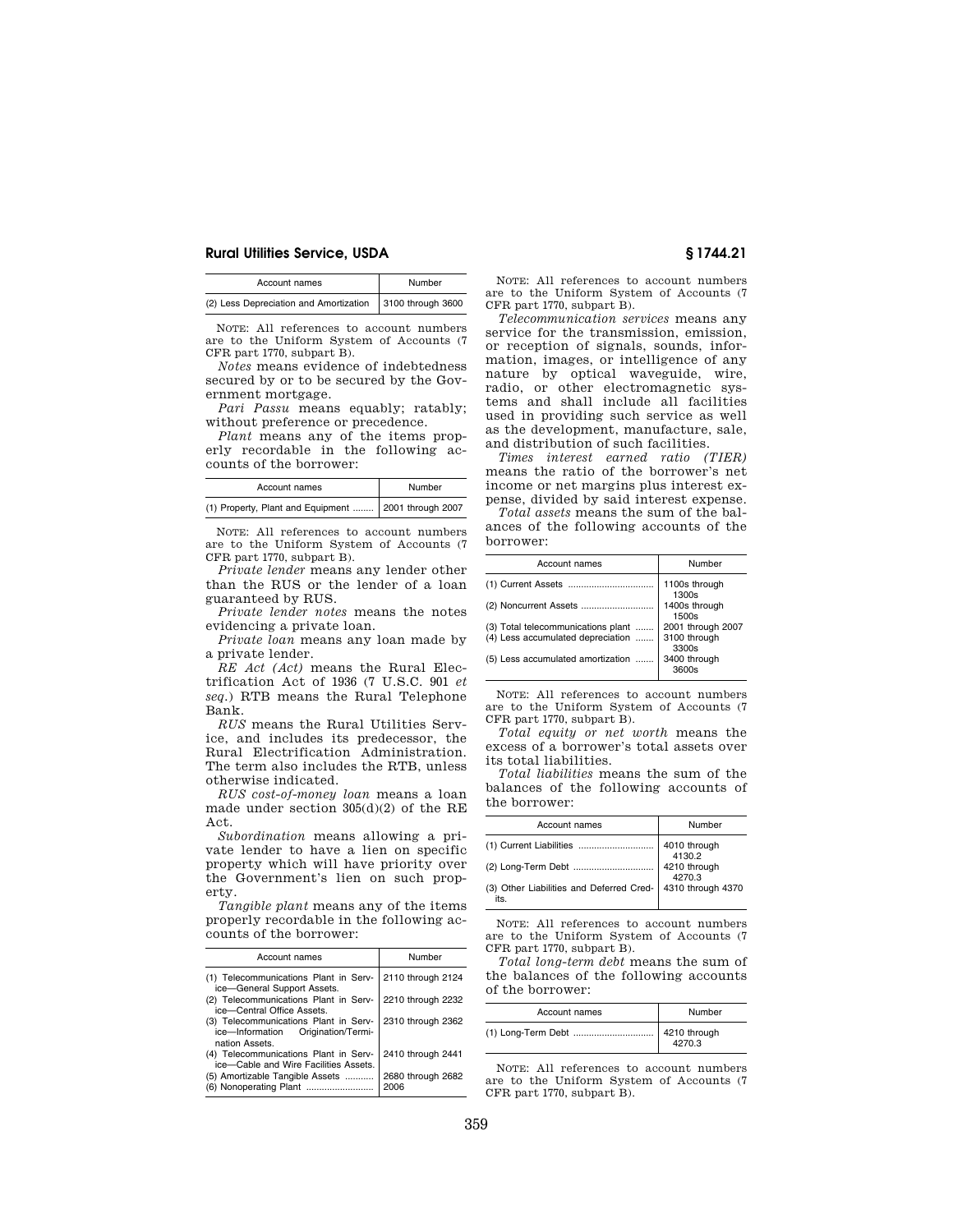### **Rural Utilities Service, USDA § 1744.21**

| Account names                                              | Number |
|------------------------------------------------------------|--------|
| (2) Less Depreciation and Amortization   3100 through 3600 |        |

NOTE: All references to account numbers are to the Uniform System of Accounts (7 CFR part 1770, subpart B).

*Notes* means evidence of indebtedness secured by or to be secured by the Government mortgage.

*Pari Passu* means equably; ratably; without preference or precedence.

*Plant* means any of the items properly recordable in the following accounts of the borrower:

| Account names                                          | Number |
|--------------------------------------------------------|--------|
| (1) Property, Plant and Equipment    2001 through 2007 |        |

NOTE: All references to account numbers are to the Uniform System of Accounts (7 CFR part 1770, subpart B).

*Private lender* means any lender other than the RUS or the lender of a loan guaranteed by RUS.

*Private lender notes* means the notes evidencing a private loan.

*Private loan* means any loan made by a private lender.

*RE Act (Act)* means the Rural Electrification Act of 1936 (7 U.S.C. 901 *et seq.*) RTB means the Rural Telephone Bank.

*RUS* means the Rural Utilities Service, and includes its predecessor, the Rural Electrification Administration. The term also includes the RTB, unless otherwise indicated.

*RUS cost-of-money loan* means a loan made under section 305(d)(2) of the RE Act.

*Subordination* means allowing a private lender to have a lien on specific property which will have priority over the Government's lien on such property.

*Tangible plant* means any of the items properly recordable in the following accounts of the borrower:

| Account names                                                                                    | Number                    |
|--------------------------------------------------------------------------------------------------|---------------------------|
| (1) Telecommunications Plant in Serv-<br>ice-General Support Assets.                             | 2110 through 2124         |
| (2) Telecommunications Plant in Serv-<br>ice-Central Office Assets.                              | 2210 through 2232         |
| (3) Telecommunications Plant in Serv-<br>ice-Information<br>Origination/Termi-<br>nation Assets. | 2310 through 2362         |
| (4) Telecommunications Plant in Serv-<br>ice-Cable and Wire Facilities Assets.                   | 2410 through 2441         |
| (5) Amortizable Tangible Assets                                                                  | 2680 through 2682<br>2006 |

NOTE: All references to account numbers are to the Uniform System of Accounts (7 CFR part 1770, subpart B).

*Telecommunication services* means any service for the transmission, emission, or reception of signals, sounds, information, images, or intelligence of any nature by optical waveguide, wire, radio, or other electromagnetic systems and shall include all facilities used in providing such service as well as the development, manufacture, sale, and distribution of such facilities.

*Times interest earned ratio (TIER)*  means the ratio of the borrower's net income or net margins plus interest expense, divided by said interest expense.

*Total assets* means the sum of the balances of the following accounts of the borrower:

| Account names                                                           | Number                                     |
|-------------------------------------------------------------------------|--------------------------------------------|
|                                                                         | 1100s through<br>1300s                     |
|                                                                         | 1400s through<br>1500s                     |
| (3) Total telecommunications plant<br>(4) Less accumulated depreciation | 2001 through 2007<br>3100 through<br>3300s |
| (5) Less accumulated amortization                                       | 3400 through<br>3600s                      |

NOTE: All references to account numbers are to the Uniform System of Accounts (7 CFR part 1770, subpart B).

*Total equity or net worth* means the excess of a borrower's total assets over its total liabilities.

*Total liabilities* means the sum of the balances of the following accounts of the borrower:

| Account names                                                        | Number                           |
|----------------------------------------------------------------------|----------------------------------|
| (1) Current Liabilities                                              | 4010 through                     |
|                                                                      | 4130.2<br>4210 through<br>4270.3 |
| (3) Other Liabilities and Deferred Cred-   4310 through 4370<br>its. |                                  |

NOTE: All references to account numbers are to the Uniform System of Accounts (7 CFR part 1770, subpart B).

*Total long-term debt* means the sum of the balances of the following accounts of the borrower:

| Account names | Number                 |
|---------------|------------------------|
|               | 4210 through<br>4270.3 |

NOTE: All references to account numbers are to the Uniform System of Accounts (7 CFR part 1770, subpart B).